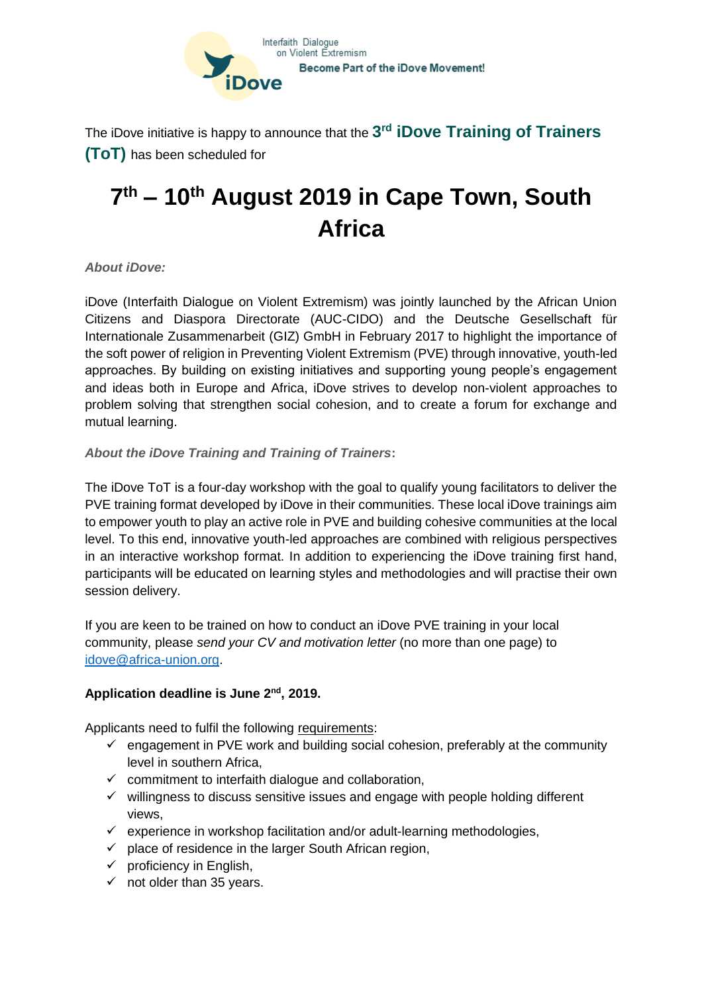

The iDove initiative is happy to announce that the  $3^{\mathsf{rd}}$   $\mathsf{iDove}$  Tra $\mathsf{ining}$  of Tra $\mathsf{iners}$ **(ToT)** has been scheduled for

## **7 th – 10 th August 2019 in Cape Town, South Africa**

## *About iDove:*

iDove (Interfaith Dialogue on Violent Extremism) was jointly launched by the African Union Citizens and Diaspora Directorate (AUC-CIDO) and the Deutsche Gesellschaft für Internationale Zusammenarbeit (GIZ) GmbH in February 2017 to highlight the importance of the soft power of religion in Preventing Violent Extremism (PVE) through innovative, youth-led approaches. By building on existing initiatives and supporting young people's engagement and ideas both in Europe and Africa, iDove strives to develop non-violent approaches to problem solving that strengthen social cohesion, and to create a forum for exchange and mutual learning.

## *About the iDove Training and Training of Trainers***:**

The iDove ToT is a four-day workshop with the goal to qualify young facilitators to deliver the PVE training format developed by iDove in their communities. These local iDove trainings aim to empower youth to play an active role in PVE and building cohesive communities at the local level. To this end, innovative youth-led approaches are combined with religious perspectives in an interactive workshop format. In addition to experiencing the iDove training first hand, participants will be educated on learning styles and methodologies and will practise their own session delivery.

If you are keen to be trained on how to conduct an iDove PVE training in your local community, please *send your CV and motivation letter* (no more than one page) to [idove@africa-union.org.](mailto:idove@africa-union.org)

## **Application deadline is June 2nd, 2019.**

Applicants need to fulfil the following requirements:

- $\checkmark$  engagement in PVE work and building social cohesion, preferably at the community level in southern Africa,
- $\checkmark$  commitment to interfaith dialogue and collaboration,
- $\checkmark$  willingness to discuss sensitive issues and engage with people holding different views,
- $\checkmark$  experience in workshop facilitation and/or adult-learning methodologies,
- $\checkmark$  place of residence in the larger South African region,
- $\checkmark$  proficiency in English,
- $\checkmark$  not older than 35 years.